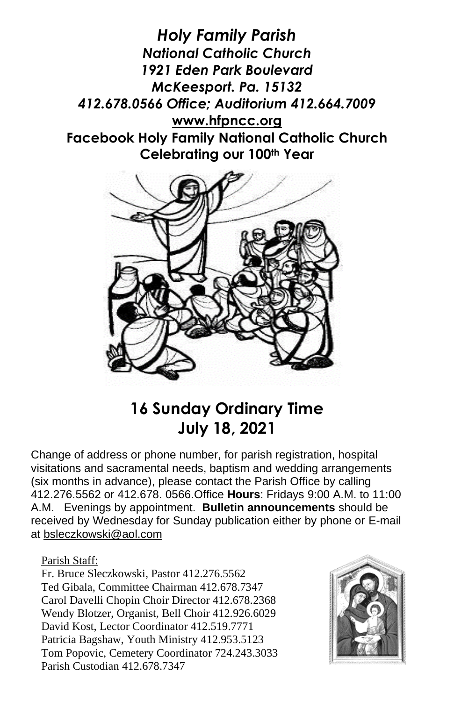*Holy Family Parish National Catholic Church 1921 Eden Park Boulevard McKeesport. Pa. 15132 412.678.0566 Office; Auditorium 412.664.7009* **[www.hfpncc.org](http://www.hfpncc.org/) Facebook Holy Family National Catholic Church Celebrating our 100th Year**



## **16 Sunday Ordinary Time July 18, 2021**

Change of address or phone number, for parish registration, hospital visitations and sacramental needs, baptism and wedding arrangements (six months in advance), please contact the Parish Office by calling 412.276.5562 or 412.678. 0566.Office **Hours**: Fridays 9:00 A.M. to 11:00 A.M. Evenings by appointment. **Bulletin announcements** should be received by Wednesday for Sunday publication either by phone or E-mail at [bsleczkowski@aol.com](mailto:bsleczkowski@aol.com)

Parish Staff:

Fr. Bruce Sleczkowski, Pastor 412.276.5562 Ted Gibala, Committee Chairman 412.678.7347 Carol Davelli Chopin Choir Director 412.678.2368 Wendy Blotzer, Organist, Bell Choir 412.926.6029 David Kost, Lector Coordinator 412.519.7771 Patricia Bagshaw, Youth Ministry 412.953.5123 Tom Popovic, Cemetery Coordinator 724.243.3033 Parish Custodian 412.678.7347

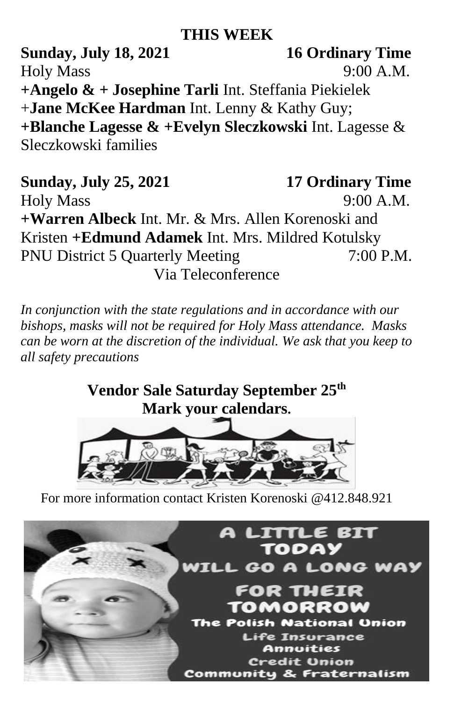## **THIS WEEK**

**Sunday, July 18, 2021 16 Ordinary Time** Holy Mass 9:00 A.M. **+Angelo & + Josephine Tarli** Int. Steffania Piekielek +**Jane McKee Hardman** Int. Lenny & Kathy Guy; **+Blanche Lagesse & +Evelyn Sleczkowski** Int. Lagesse & Sleczkowski families

**Sunday, July 25, 2021 17 Ordinary Time** Holy Mass 9:00 A.M. **+Warren Albeck** Int. Mr. & Mrs. Allen Korenoski and Kristen **+Edmund Adamek** Int. Mrs. Mildred Kotulsky PNU District 5 Quarterly Meeting 7:00 P.M. Via Teleconference

*In conjunction with the state regulations and in accordance with our bishops, masks will not be required for Holy Mass attendance. Masks can be worn at the discretion of the individual. We ask that you keep to all safety precautions*

> **Vendor Sale Saturday September 25th Mark your calendars.**



For more information contact Kristen Korenoski @412.848.921

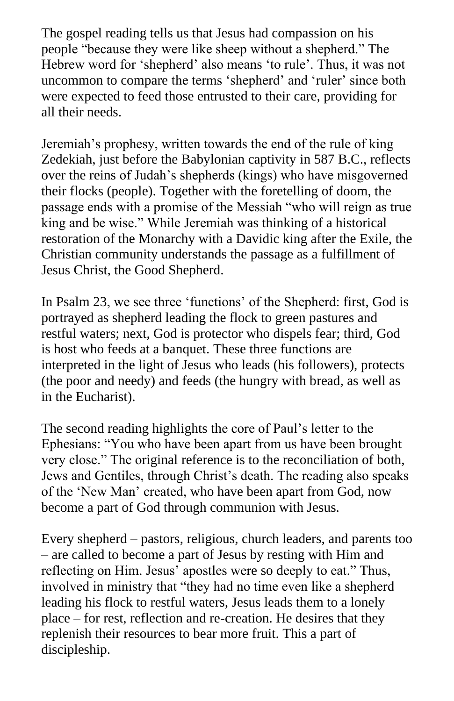The gospel reading tells us that Jesus had compassion on his people "because they were like sheep without a shepherd." The Hebrew word for 'shepherd' also means 'to rule'. Thus, it was not uncommon to compare the terms 'shepherd' and 'ruler' since both were expected to feed those entrusted to their care, providing for all their needs.

Jeremiah's prophesy, written towards the end of the rule of king Zedekiah, just before the Babylonian captivity in 587 B.C., reflects over the reins of Judah's shepherds (kings) who have misgoverned their flocks (people). Together with the foretelling of doom, the passage ends with a promise of the Messiah "who will reign as true king and be wise." While Jeremiah was thinking of a historical restoration of the Monarchy with a Davidic king after the Exile, the Christian community understands the passage as a fulfillment of Jesus Christ, the Good Shepherd.

In Psalm 23, we see three 'functions' of the Shepherd: first, God is portrayed as shepherd leading the flock to green pastures and restful waters; next, God is protector who dispels fear; third, God is host who feeds at a banquet. These three functions are interpreted in the light of Jesus who leads (his followers), protects (the poor and needy) and feeds (the hungry with bread, as well as in the Eucharist).

The second reading highlights the core of Paul's letter to the Ephesians: "You who have been apart from us have been brought very close." The original reference is to the reconciliation of both, Jews and Gentiles, through Christ's death. The reading also speaks of the 'New Man' created, who have been apart from God, now become a part of God through communion with Jesus.

Every shepherd – pastors, religious, church leaders, and parents too – are called to become a part of Jesus by resting with Him and reflecting on Him. Jesus' apostles were so deeply to eat." Thus, involved in ministry that "they had no time even like a shepherd leading his flock to restful waters, Jesus leads them to a lonely place – for rest, reflection and re-creation. He desires that they replenish their resources to bear more fruit. This a part of discipleship.